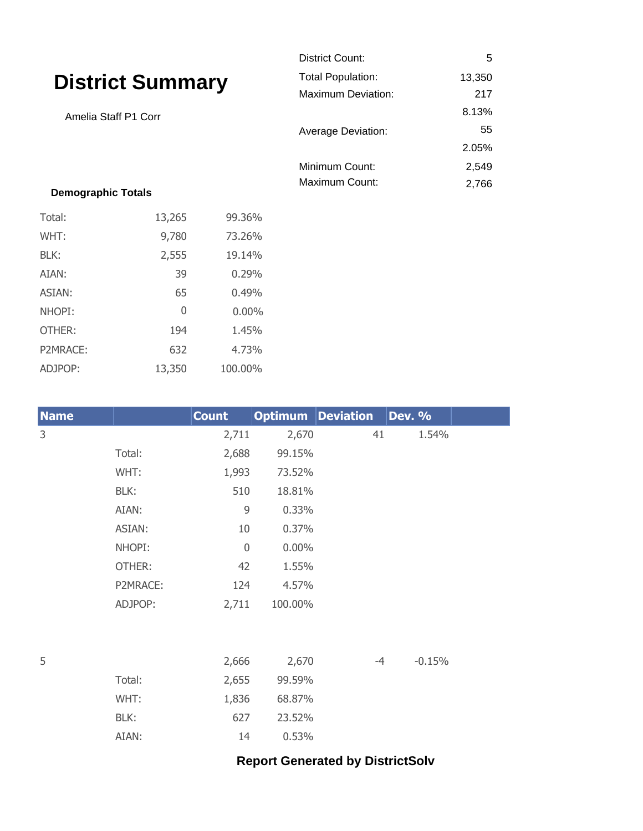|                                                 |        |        | District Count:                    | 5     |
|-------------------------------------------------|--------|--------|------------------------------------|-------|
| <b>District Summary</b><br>Amelia Staff P1 Corr |        |        | <b>Total Population:</b><br>13,350 |       |
|                                                 |        |        | Maximum Deviation:                 | 217   |
|                                                 |        |        |                                    | 8.13% |
|                                                 |        |        | <b>Average Deviation:</b>          | 55    |
|                                                 |        |        |                                    | 2.05% |
|                                                 |        |        | Minimum Count:                     | 2,549 |
| <b>Demographic Totals</b>                       |        |        | Maximum Count:                     | 2,766 |
| Total:                                          | 13,265 | 99.36% |                                    |       |
| WHT:                                            | 9,780  | 73.26% |                                    |       |
| BLK:                                            | 2,555  | 19.14% |                                    |       |

| P2MRACE:    | 632      | 4.73%        |                          |    |               |  |
|-------------|----------|--------------|--------------------------|----|---------------|--|
| ADJPOP:     | 13,350   | 100.00%      |                          |    |               |  |
|             |          |              |                          |    |               |  |
| <b>Name</b> |          | <b>Count</b> | <b>Optimum</b> Deviation |    | <b>Dev. %</b> |  |
| 3           |          | 2,711        | 2,670                    | 41 | 1.54%         |  |
|             | Total:   | 2,688        | 99.15%                   |    |               |  |
|             | WHT:     | 1,993        | 73.52%                   |    |               |  |
|             | BLK:     | 510          | 18.81%                   |    |               |  |
|             | AIAN:    | 9            | 0.33%                    |    |               |  |
|             | ASIAN:   | 10           | 0.37%                    |    |               |  |
|             | NHOPI:   | $\mathbf 0$  | $0.00\%$                 |    |               |  |
|             | OTHER:   | 42           | 1.55%                    |    |               |  |
|             | P2MRACE: | 124          | 4.57%                    |    |               |  |
|             | ADJPOP:  | 2,711        | 100.00%                  |    |               |  |
|             |          |              |                          |    |               |  |
|             |          |              |                          |    |               |  |

AIAN: 39 0.29% ASIAN: 65 0.49% NHOPI: 0 0.00% OTHER: 194 1.45%

| 5 |        | 2,666 | 2,670  | -4 | $-0.15%$ |
|---|--------|-------|--------|----|----------|
|   | Total: | 2,655 | 99.59% |    |          |
|   | WHT:   | 1,836 | 68.87% |    |          |
|   | BLK:   | 627   | 23.52% |    |          |
|   | AIAN:  | 14    | 0.53%  |    |          |

## **Report Generated by DistrictSolv**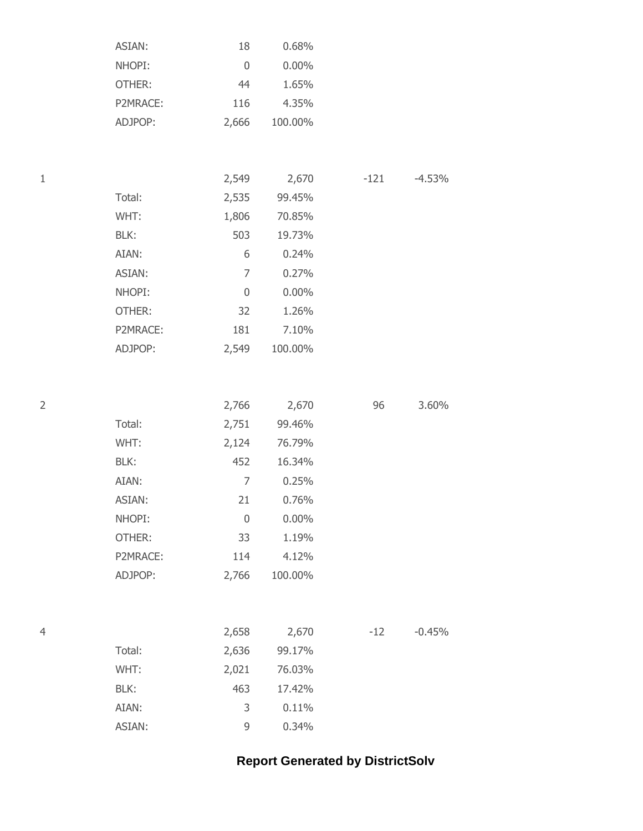| ASIAN:   | 18    | $0.68\%$ |
|----------|-------|----------|
| NHOPI:   | 0     | $0.00\%$ |
| OTHER:   | 44    | 1.65%    |
| P2MRACE: | 116   | 4.35%    |
| ADJPOP:  | 2,666 | 100.00%  |
|          |       |          |

| 1 |          | 2,549 | 2,670    | $-121$ | $-4.53%$ |
|---|----------|-------|----------|--------|----------|
|   | Total:   | 2,535 | 99.45%   |        |          |
|   | WHT:     | 1,806 | 70.85%   |        |          |
|   | BLK:     | 503   | 19.73%   |        |          |
|   | AIAN:    | 6     | 0.24%    |        |          |
|   | ASIAN:   | 7     | 0.27%    |        |          |
|   | NHOPI:   | 0     | $0.00\%$ |        |          |
|   | OTHER:   | 32    | 1.26%    |        |          |
|   | P2MRACE: | 181   | 7.10%    |        |          |
|   | ADJPOP:  | 2,549 | 100.00%  |        |          |
|   |          |       |          |        |          |

| 2 |          | 2,766 | 2,670    | 96 | 3.60% |
|---|----------|-------|----------|----|-------|
|   | Total:   | 2,751 | 99.46%   |    |       |
|   | WHT:     | 2,124 | 76.79%   |    |       |
|   | BLK:     | 452   | 16.34%   |    |       |
|   | AIAN:    | 7     | 0.25%    |    |       |
|   | ASIAN:   | 21    | 0.76%    |    |       |
|   | NHOPI:   | 0     | $0.00\%$ |    |       |
|   | OTHER:   | 33    | 1.19%    |    |       |
|   | P2MRACE: | 114   | 4.12%    |    |       |
|   | ADJPOP:  | 2,766 | 100.00%  |    |       |
|   |          |       |          |    |       |

| 4 |        | 2,658 | 2,670  | $-12$ | $-0.45%$ |
|---|--------|-------|--------|-------|----------|
|   | Total: | 2,636 | 99.17% |       |          |
|   | WHT:   | 2,021 | 76.03% |       |          |
|   | BLK:   | 463   | 17.42% |       |          |
|   | AIAN:  | 3     | 0.11%  |       |          |
|   | ASIAN: | 9     | 0.34%  |       |          |

## **Report Generated by DistrictSolv**